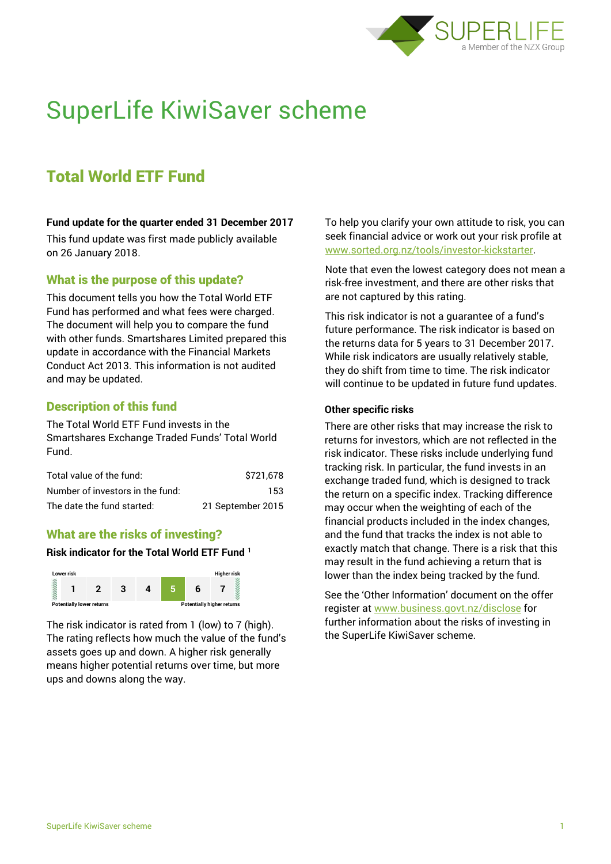

# SuperLife KiwiSaver scheme

# Total World ETF Fund

#### **Fund update for the quarter ended 31 December 2017**

This fund update was first made publicly available on 26 January 2018.

## What is the purpose of this update?

This document tells you how the Total World ETF Fund has performed and what fees were charged. The document will help you to compare the fund with other funds. Smartshares Limited prepared this update in accordance with the Financial Markets Conduct Act 2013. This information is not audited and may be updated.

# Description of this fund

The Total World ETF Fund invests in the Smartshares Exchange Traded Funds' Total World Fund.

| Total value of the fund:         | \$721.678         |
|----------------------------------|-------------------|
| Number of investors in the fund: | 153               |
| The date the fund started:       | 21 September 2015 |

# What are the risks of investing?

#### **Risk indicator for the Total World ETF Fund <sup>1</sup>**



The risk indicator is rated from 1 (low) to 7 (high). The rating reflects how much the value of the fund's assets goes up and down. A higher risk generally means higher potential returns over time, but more ups and downs along the way.

To help you clarify your own attitude to risk, you can seek financial advice or work out your risk profile at [www.sorted.org.nz/tools/investor-kickstarter.](http://www.sorted.org.nz/tools/investor-kickstarter)

Note that even the lowest category does not mean a risk-free investment, and there are other risks that are not captured by this rating.

This risk indicator is not a guarantee of a fund's future performance. The risk indicator is based on the returns data for 5 years to 31 December 2017. While risk indicators are usually relatively stable, they do shift from time to time. The risk indicator will continue to be updated in future fund updates.

#### **Other specific risks**

There are other risks that may increase the risk to returns for investors, which are not reflected in the risk indicator. These risks include underlying fund tracking risk. In particular, the fund invests in an exchange traded fund, which is designed to track the return on a specific index. Tracking difference may occur when the weighting of each of the financial products included in the index changes, and the fund that tracks the index is not able to exactly match that change. There is a risk that this may result in the fund achieving a return that is lower than the index being tracked by the fund.

See the 'Other Information' document on the offer register at www.business.govt.nz/disclose for further information about the risks of investing in the SuperLife KiwiSaver scheme.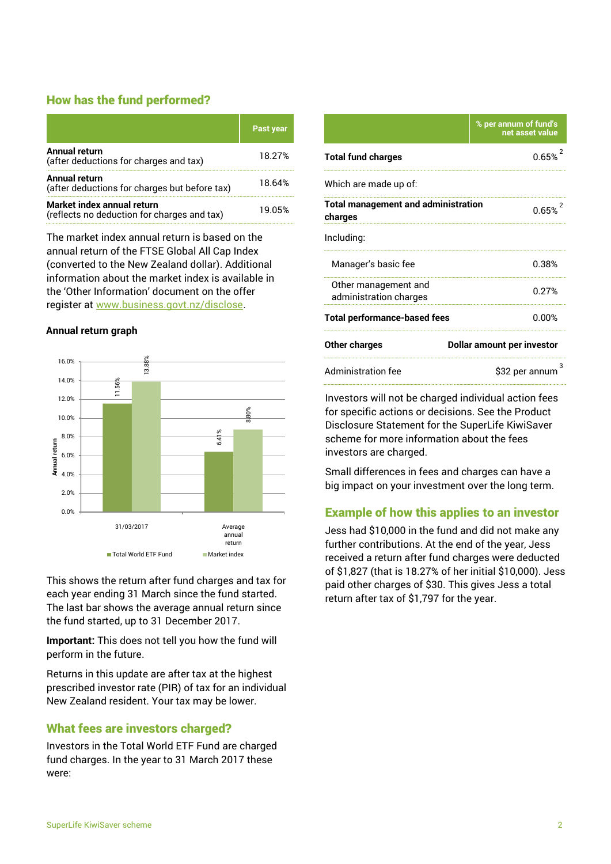# How has the fund performed?

|                                                                           | <b>Past year</b> |
|---------------------------------------------------------------------------|------------------|
| <b>Annual return</b><br>(after deductions for charges and tax)            | 18.27%           |
| Annual return<br>(after deductions for charges but before tax)            | 18.64%           |
| Market index annual return<br>(reflects no deduction for charges and tax) | 19.05%           |

The market index annual return is based on the annual return of the FTSE Global All Cap Index (converted to the New Zealand dollar). Additional information about the market index is available in the 'Other Information' document on the offer register at www.business.govt.nz/disclose.

#### **Annual return graph**



This shows the return after fund charges and tax for each year ending 31 March since the fund started. The last bar shows the average annual return since the fund started, up to 31 December 2017.

**Important:** This does not tell you how the fund will perform in the future.

Returns in this update are after tax at the highest prescribed investor rate (PIR) of tax for an individual New Zealand resident. Your tax may be lower.

# What fees are investors charged?

Investors in the Total World ETF Fund are charged fund charges. In the year to 31 March 2017 these were:

|                                                       | % per annum of fund's<br>net asset value |  |
|-------------------------------------------------------|------------------------------------------|--|
| <b>Total fund charges</b>                             | 0.65%                                    |  |
| Which are made up of:                                 |                                          |  |
| <b>Total management and administration</b><br>charges | $0.65%^{2}$                              |  |
| Including:                                            |                                          |  |
| Manager's basic fee                                   | 0.38%                                    |  |
| Other management and<br>administration charges        | በ 27%                                    |  |
| <b>Total performance-based fees</b>                   | 0.00%                                    |  |
| Other charges                                         | <b>Dollar amount per investor</b>        |  |
| <b>Administration fee</b>                             | \$32 per annum                           |  |

Investors will not be charged individual action fees for specific actions or decisions. See the Product Disclosure Statement for the SuperLife KiwiSaver scheme for more information about the fees investors are charged.

Small differences in fees and charges can have a big impact on your investment over the long term.

# Example of how this applies to an investor

Jess had \$10,000 in the fund and did not make any further contributions. At the end of the year, Jess received a return after fund charges were deducted of \$1,827 (that is 18.27% of her initial \$10,000). Jess paid other charges of \$30. This gives Jess a total return after tax of \$1,797 for the year.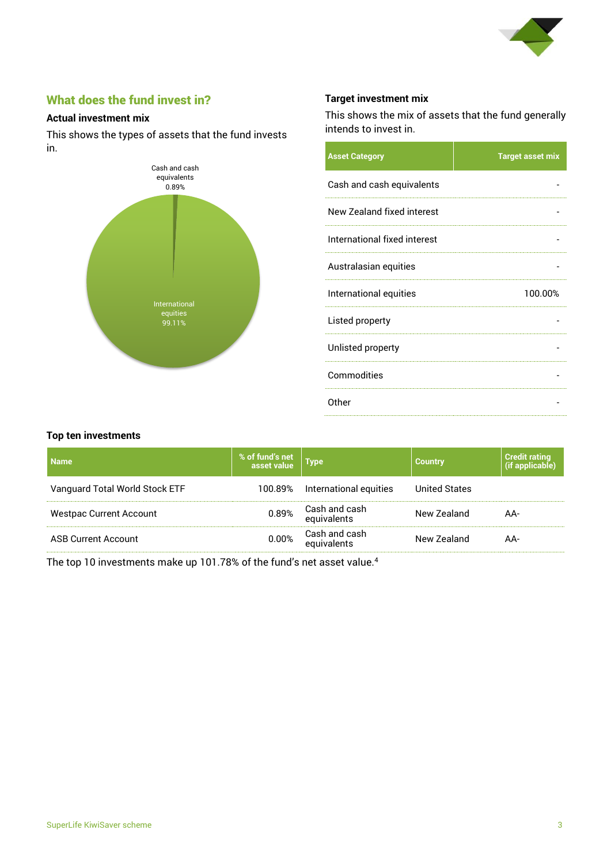

# What does the fund invest in?

#### **Actual investment mix**

This shows the types of assets that the fund invests in.



## **Target investment mix**

This shows the mix of assets that the fund generally intends to invest in.

| <b>Asset Category</b>        | <b>Target asset mix</b> |
|------------------------------|-------------------------|
| Cash and cash equivalents    |                         |
| New Zealand fixed interest   |                         |
| International fixed interest |                         |
| Australasian equities        |                         |
| International equities       | 100.00%                 |
| Listed property              |                         |
| Unlisted property            |                         |
| Commodities                  |                         |
| Other                        |                         |

#### **Top ten investments**

| <b>Name</b>                    | % of fund's net<br>asset value | Type                         | <b>Country</b>       | <b>Credit rating</b><br>(if applicable) |
|--------------------------------|--------------------------------|------------------------------|----------------------|-----------------------------------------|
| Vanguard Total World Stock ETF | 100.89%                        | International equities       | <b>United States</b> |                                         |
| <b>Westpac Current Account</b> | 0.89%                          | Cash and cash<br>equivalents | New Zealand          | AA-                                     |
| <b>ASB Current Account</b>     | $0.00\%$                       | Cash and cash<br>equivalents | New Zealand          | AA-                                     |

The top 10 investments make up 101.78% of the fund's net asset value.<sup>4</sup>